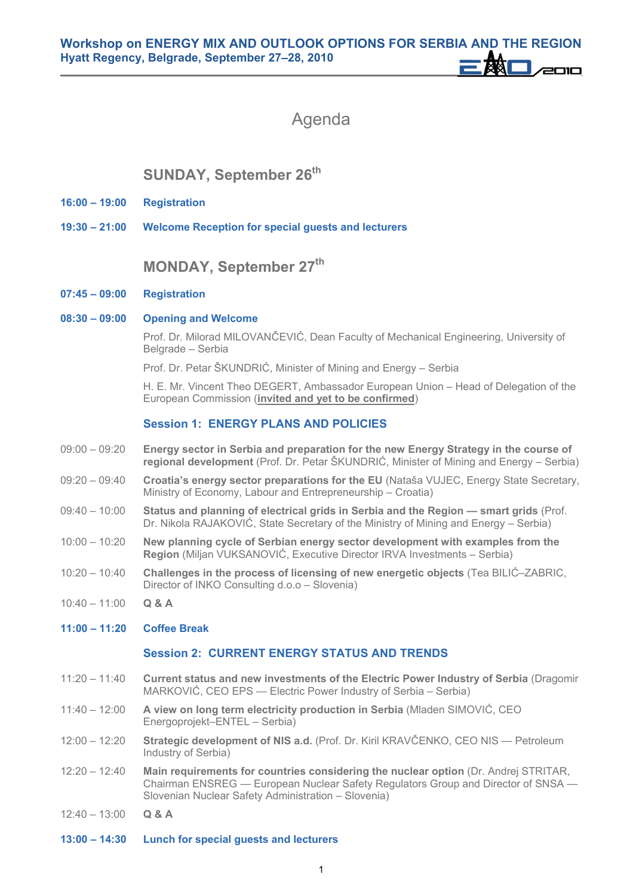# Agenda

## **SUNDAY, September 26th**

- **16:00 19:00 Registration**
- **19:30 21:00 Welcome Reception for special guests and lecturers**

### **MONDAY, September 27th**

- **07:45 09:00 Registration**
- **08:30 09:00 Opening and Welcome**

Prof. Dr. Milorad MILOVANČEVIĆ, Dean Faculty of Mechanical Engineering, University of Belgrade – Serbia

Prof. Dr. Petar ŠKUNDRIĆ, Minister of Mining and Energy – Serbia

 H. E. Mr. Vincent Theo DEGERT, Ambassador European Union – Head of Delegation of the European Commission (**invited and yet to be confirmed**)

#### **Session 1: ENERGY PLANS AND POLICIES**

- 09:00 09:20 **Energy sector in Serbia and preparation for the new Energy Strategy in the course of regional development** (Prof. Dr. Petar ŠKUNDRIĆ, Minister of Mining and Energy – Serbia)
- 09:20 09:40 **Croatia's energy sector preparations for the EU** (Nataša VUJEC, Energy State Secretary, Ministry of Economy, Labour and Entrepreneurship – Croatia)
- 09:40 10:00 **Status and planning of electrical grids in Serbia and the Region smart grids** (Prof. Dr. Nikola RAJAKOVIĆ, State Secretary of the Ministry of Mining and Energy – Serbia)
- 10:00 10:20 **New planning cycle of Serbian energy sector development with examples from the Region** (Miljan VUKSANOVIĆ, Executive Director IRVA Investments – Serbia)
- 10:20 10:40 **Challenges in the process of licensing of new energetic objects** (Tea BILIĆ–ZABRIC, Director of INKO Consulting d.o.o – Slovenia)
- $10:40 11:00$  Q & A
- **11:00 11:20 Coffee Break**

#### **Session 2: CURRENT ENERGY STATUS AND TRENDS**

- 11:20 11:40 **Current status and new investments of the Electric Power Industry of Serbia** (Dragomir MARKOVIĆ, CEO EPS — Electric Power Industry of Serbia – Serbia)
- 11:40 12:00 **A view on long term electricity production in Serbia** (Mladen SIMOVIĆ, CEO Energoprojekt–ENTEL – Serbia)
- 12:00 12:20 **Strategic development of NIS a.d.** (Prof. Dr. Kiril KRAVČENKO, CEO NIS Petroleum Industry of Serbia)
- 12:20 12:40 **Main requirements for countries considering the nuclear option** (Dr. Andrej STRITAR, Chairman ENSREG — European Nuclear Safety Regulators Group and Director of SNSA — Slovenian Nuclear Safety Administration – Slovenia)
- 12:40 13:00 **Q & A**
- **13:00 14:30 Lunch for special guests and lecturers**